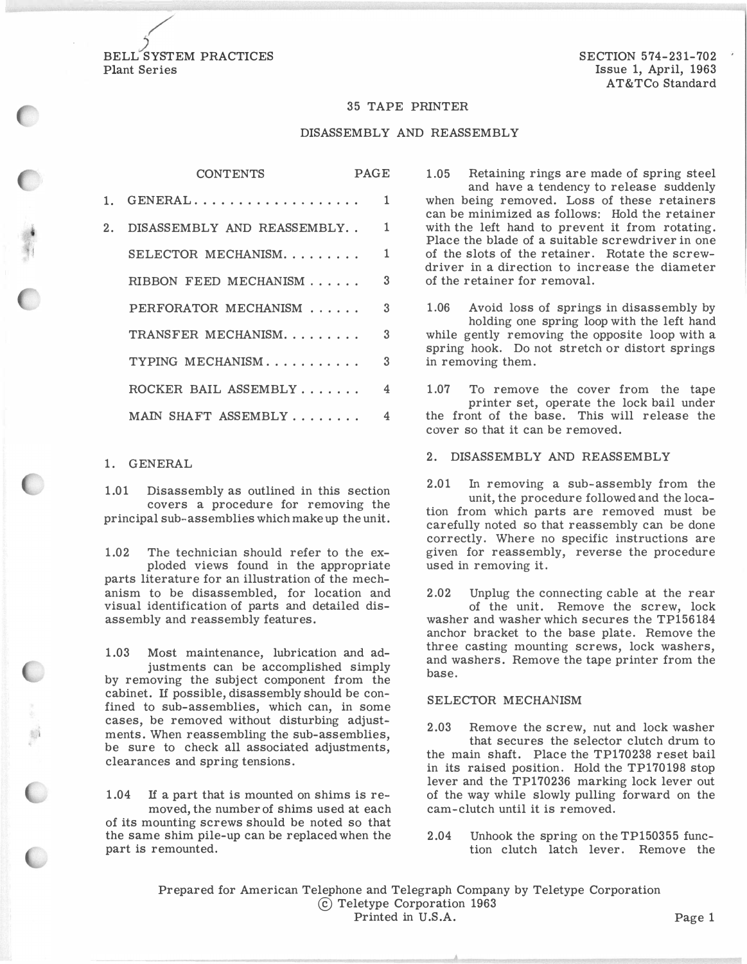$\overbrace{S}$ BELL SYSTEM PRACTICES Plant Series

#### 35 TAPE PRINTER

### DISASSEMBLY AND REASSEMBLY

|         | <b>CONTENTS</b>            | <b>PAGE</b> |               |
|---------|----------------------------|-------------|---------------|
| $1_{-}$ | $GENERAL$                  |             | 1             |
| 2.      | DISASSEMBLY AND REASSEMBLY |             | 1             |
|         | SELECTOR MECHANISM         |             | 1             |
|         | RIBBON FEED MECHANISM      |             | 3             |
|         | PERFORATOR MECHANISM       |             | $\mathcal{R}$ |
|         | TRANSFER MECHANISM.        |             | 3             |
|         | TYPING MECHANISM           |             | 3             |
|         | ROCKER BAIL ASSEMBLY       |             | 4             |
|         | MAIN SHAFT ASSEMBLY        |             | 4             |

## 1. GENERAL

1.01 Disassembly as outlined in this section covers a procedure for removing the principal sub-assemblies which make up the unit.

1.02 The technician should refer to the exploded views found in the appropriate parts literature for an illustration of the mechanism to be disassembled, for location and visual identification of parts and detailed disassembly and reassembly features.

1.03 Most maintenance, lubrication and adjustments can be accomplished simply by removing the subject component from the cabinet. If possible, disassembly should be confined to sub-assemblies, which can, in some cases, be removed without disturbing adjustments. When reassembling the sub-assemblies, be sure to check all associated adjustments, clearances and spring tensions.

1.04 If a part that is mounted on shims is removed, the number of shims used at each of its mounting screws should be noted so that the same shim pile-up can be replaced when the part is remounted.

1.05 Retaining rings are made of spring steel and have a tendency to release suddenly when being removed. Loss of these retainers can be minimized as follows: Hold the retainer with the left hand to prevent it from rotating. Place the blade of a suitable screwdriver in one of the slots of the retainer. Rotate the screwdriver in a direction to increase the diameter of the retainer for removal.

1.06 Avoid loss of springs in disassembly by holding one spring loop with the left hand while gently removing the opposite loop with a spring hook. Do not stretch or distort springs in removing them.

1.07 To remove the cover from the tape printer set, operate the lock bail under the front of the base. This will release the cover so that it can be removed.

2. DISASSEMBLY AND REASSEMBLY

2.01 In removing a sub-assembly from the unit, the procedure followed and the location from which parts are removed must be carefully noted so that reassembly can be done correctly. Where no specific instructions are given for reassembly, reverse the procedure used in removing it.

2.02 Unplug the connecting cable at the rear of the unit. Remove the screw, lock washer and washer which secures the TP156184 anchor bracket to the base plate. Remove the three casting mounting screws, lock washers, and washers. Remove the tape printer from the base.

# SELECTOR MECHANISM

2.03 Remove the screw, nut and lock washer that secures the selector clutch drum to the main shaft. Place the TP170238 reset bail in its raised position. Hold the TP170198 stop lever and the TP170236 marking lock lever out of the way while slowly pulling forward on the cam-clutch until it is removed.

2.04 Unhook the spring on the TP150355 function clutch latch lever. Remove the

Prepared for American Telephone and Telegraph Company by Teletype Corporation © Teletype Corporation 1963 Printed in U.S.A. Page 1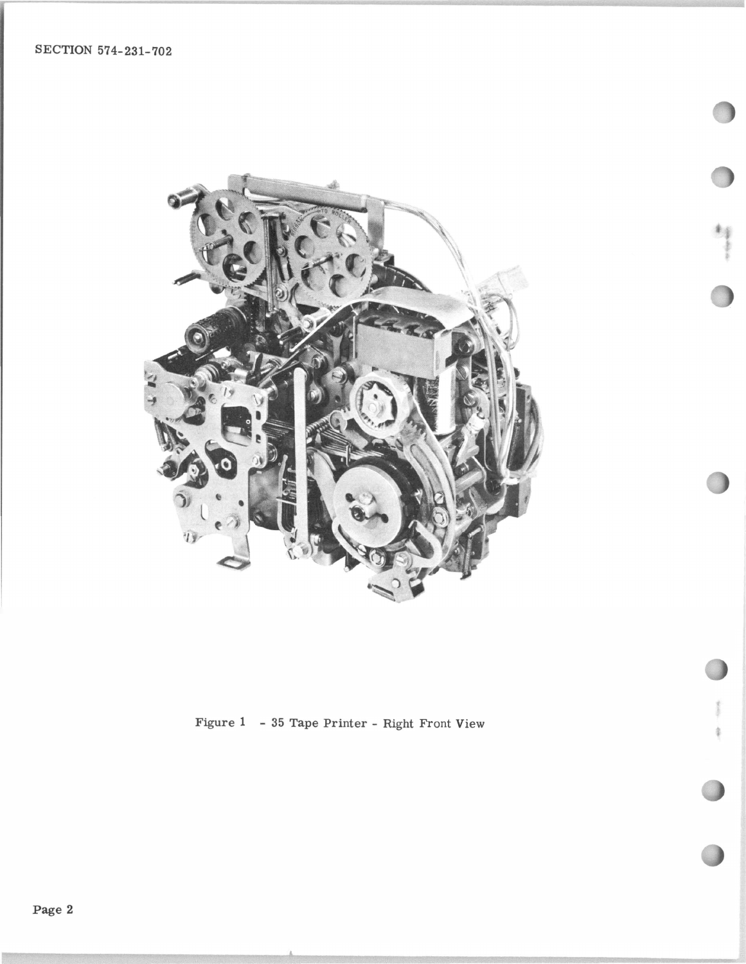

制水

Figure 1 - 35 Tape Printer - Right Front View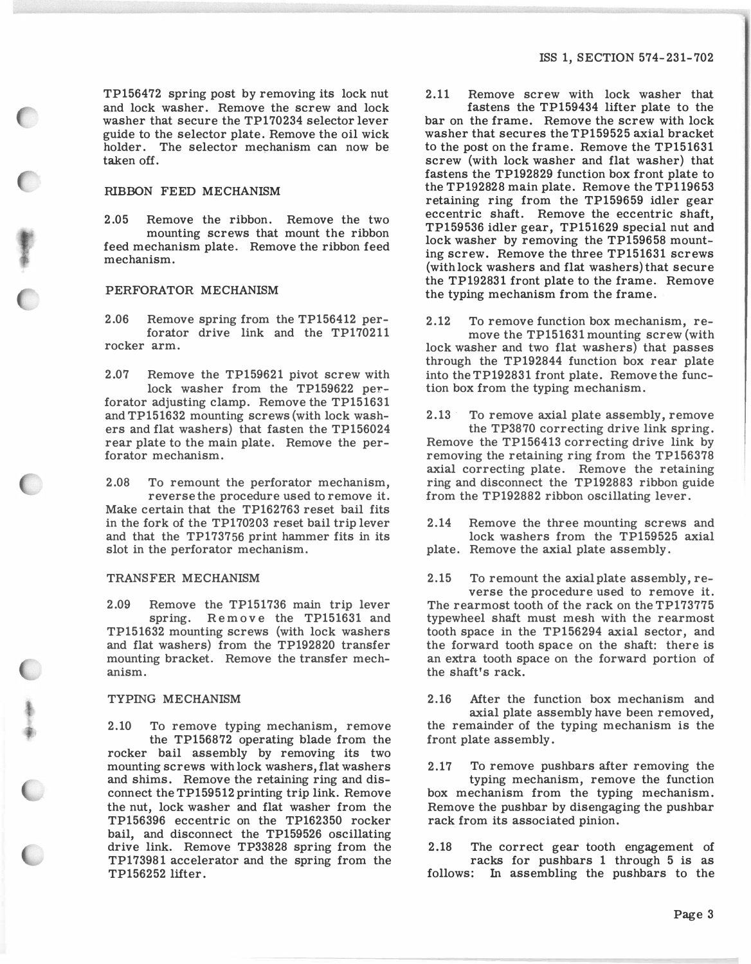TP156472 spring post by removing its lock nut and lock washer. Remove the screw and lock washer that secure the TP170234 selector lever guide to the selector plate. Remove the oil wick holder. The selector mechanism can now be taken off.

## RIBBON FEED MECHANISM

2.05 Remove the ribbon. Remove the two mounting screws that mount the ribbon feed mechanism plate. Remove the ribbon feed mechanism.

### PERFORATOR MECHANISM

2.06 Remove spring from the TP156412 perforator drive link and the TP170211 rocker arm.

2.07 Remove the TP159621 pivot screw with lock washer from the TP159622 perforator adjusting clamp. Remove the TP151631 and TP151632 mounting screws (with lock washers and flat washers) that fasten the TP156024 rear plate to the main plate. Remove the perforator mechanism.

2.08 To remount the perforator mechanism, reverse the procedure used to remove it. Make certain that the TP162763 reset bail fits in the fork of the TP170203 reset bail trip lever and that the TP173756 print hammer fits in its slot in the perforator mechanism.

### TRANSFER MECHANISM

2.09 Remove the TP151736 main trip lever spring. Remove the TP151631 and TP151632 mounting screws (with lock washers and flat washers) from the TP192820 transfer mounting bracket. Remove the transfer mechanism.

## TYPING MECHANISM

2.10 To remove typing mechanism, remove the TP156872 operating blade from the rocker bail assembly by removing its two mounting screws with lock washers, flat washers and shims. Remove the retaining ring and disconnect the TP159512 printing trip link. Remove the nut, lock washer and flat washer from the TP156396 eccentric on the TP162350 rocker bail, and disconnect the TP159526 oscillating drive link. Remove TP33828 spring from the TP173981 accelerator and the spring from the TP156252 lifter.

2 .11 Remove screw with lock washer that

fastens the TP159434 lifter plate to the bar on the frame. Remove the screw with lock washer that secures the TP159525 axial bracket to the post on the frame. Remove the TP151631 screw (with lock washer and flat washer) that fastens the TP192829 function box front plate to the TP192828 main plate. Remove the TP119653 retaining ring from the TP159659 idler gear eccentric shaft. Remove the eccentric shaft, TP159536 idler gear, TP151629 special nut and lock washer by removing the TP159658 mounting screw. Remove the three TP151631 screws (with lock washers and flat washers) that secure the TP192831 front plate to the frame. Remove the typing mechanism from the frame.

2.12 To remove function box mechanism, remove the TP151631 mounting screw (with lock washer and two flat washers) that passes through the TP192844 function box rear plate into the TP192831 front plate. Remove the function box from the typing mechanism.

2.13 · To remove axial plate assembly, remove the TP3870 correcting drive link spring. Remove the TP156413 correcting drive link by removing the retaining ring from the TP156378 axial correcting plate. Remove the retaining ring and disconnect the TP192883 ribbon guide from the TP192882 ribbon oscillating lever.

2.14 Remove the three mounting screws and lock washers from the TP159525 axial plate. Remove the axial plate assembly.

2.15 To remount the axial plate assembly, reverse the procedure used to remove it. The rearmost tooth of the rack on the TP173775 typewheel shaft must mesh with the rearmost tooth space in the TP156294 axial sector, and the forward tooth space on the shaft: there is an extra tooth space on the forward portion of the shaft's rack.

2.16 After the function box mechanism and axial plate assembly have been removed, the remainder of the typing mechanism is the front plate assembly.

2.17 To remove pushbars after removing the typing mechanism, remove the function box mechanism from the typing mechanism. Remove the pushbar by disengaging the pushbar rack from its associated pinion.

2.18 The correct gear tooth engagement of racks for pushbars 1 through 5 is as follows: In assembling the pushbars to the